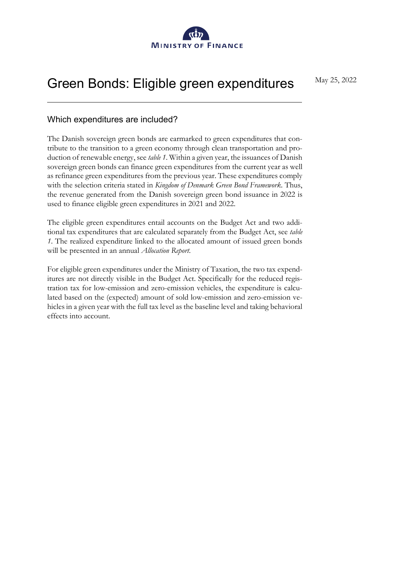

## Green Bonds: Eligible green expenditures May 25, 2022

## Which expenditures are included?

The Danish sovereign green bonds are earmarked to green expenditures that contribute to the transition to a green economy through clean transportation and production of renewable energy, see *table 1*. Within a given year, the issuances of Danish sovereign green bonds can finance green expenditures from the current year as well as refinance green expenditures from the previous year. These expenditures comply with the selection criteria stated in *Kingdom of Denmark Green Bond Framework*. Thus, the revenue generated from the Danish sovereign green bond issuance in 2022 is used to finance eligible green expenditures in 2021 and 2022.

The eligible green expenditures entail accounts on the Budget Act and two additional tax expenditures that are calculated separately from the Budget Act, see *table 1*. The realized expenditure linked to the allocated amount of issued green bonds will be presented in an annual *Allocation Report*.

For eligible green expenditures under the Ministry of Taxation, the two tax expenditures are not directly visible in the Budget Act. Specifically for the reduced registration tax for low-emission and zero-emission vehicles, the expenditure is calculated based on the (expected) amount of sold low-emission and zero-emission vehicles in a given year with the full tax level as the baseline level and taking behavioral effects into account.